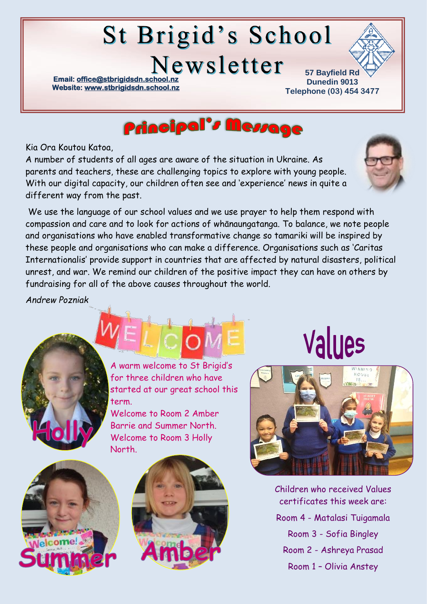# St Brigid's School

Newsletter

**Email: office@stbrigidsdn.school. Website[: www.stbrigidsdn.school.nz](http://www.stbrigidsdn.school.nz/)** 

**57 Bayfield Rd Dunedin 9013 Telephone (03) 454 3477** 



Kia Ora Koutou Katoa,

A number of students of all ages are aware of the situation in Ukraine. As parents and teachers, these are challenging topics to explore with young people. With our digital capacity, our children often see and 'experience' news in quite a different way from the past.

We use the language of our school values and we use prayer to help them respond with compassion and care and to look for actions of whānaungatanga. To balance, we note people and organisations who have enabled transformative change so tamariki will be inspired by these people and organisations who can make a difference. Organisations such as 'Caritas Internationalis' provide support in countries that are affected by natural disasters, political unrest, and war. We remind our children of the positive impact they can have on others by fundraising for all of the above causes throughout the world.

*Andrew Pozniak*



A warm welcome to St Brigid's for three children who have started at our great school this term.

Welcome to Room 2 Amber Barrie and Summer North. Welcome to Room 3 Holly North.





# Values



Children who received Values certificates this week are: Room 4 - Matalasi Tuigamala Room 3 - Sofia Bingley Room 2 - Ashreya Prasad Room 1 – Olivia Anstey

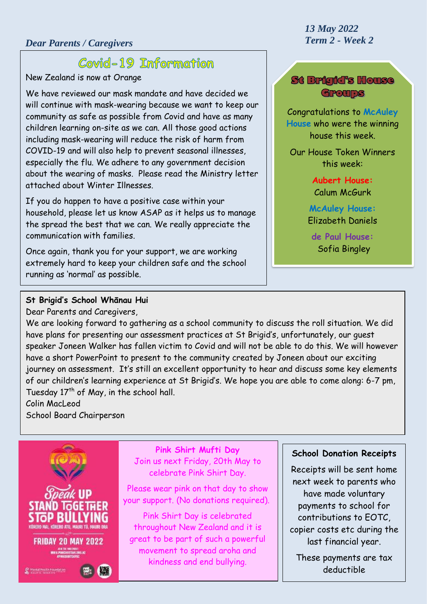# Covid-19 Information

New Zealand is now at Orange

We have reviewed our mask mandate and have decided we will continue with mask-wearing because we want to keep our community as safe as possible from Covid and have as many children learning on-site as we can. All those good actions including mask-wearing will reduce the risk of harm from COVID-19 and will also help to prevent seasonal illnesses, especially the flu. We adhere to any government decision about the wearing of masks. Please read the Ministry letter attached about Winter Illnesses.

If you do happen to have a positive case within your household, please let us know ASAP as it helps us to manage the spread the best that we can. We really appreciate the communication with families.

Once again, thank you for your support, we are working extremely hard to keep your children safe and the school running as 'normal' as possible.

# *13 May 2022*

#### St Brigid's House Groups

Congratulations to **McAuley House** who were the winning house this week.

Our House Token Winners this week:

> **Aubert House:** Calum McGurk

#### **McAuley House:** Elizabeth Daniels

**de Paul House:** Sofia Bingley

#### **St Brigid's School Whānau Hui**

Dear Parents and Caregivers,

We are looking forward to gathering as a school community to discuss the roll situation. We did have plans for presenting our assessment practices at St Brigid's, unfortunately, our guest speaker Joneen Walker has fallen victim to Covid and will not be able to do this. We will however have a short PowerPoint to present to the community created by Joneen about our exciting journey on assessment. It's still an excellent opportunity to hear and discuss some key elements of our children's learning experience at St Brigid's. We hope you are able to come along: 6-7 pm, Tuesday  $17<sup>th</sup>$  of May, in the school hall.

### Colin MacLeod

School Board Chairperson



**Pink Shirt Mufti Day** Join us next Friday, 20th May to celebrate Pink Shirt Day.

Please wear pink on that day to show your support. (No donations required).

Pink Shirt Day is celebrated throughout New Zealand and it is great to be part of such a powerful movement to spread aroha and kindness and end bullying.

#### **School Donation Receipts**

Receipts will be sent home next week to parents who have made voluntary payments to school for contributions to EOTC, copier costs etc during the last financial year.

These payments are tax deductible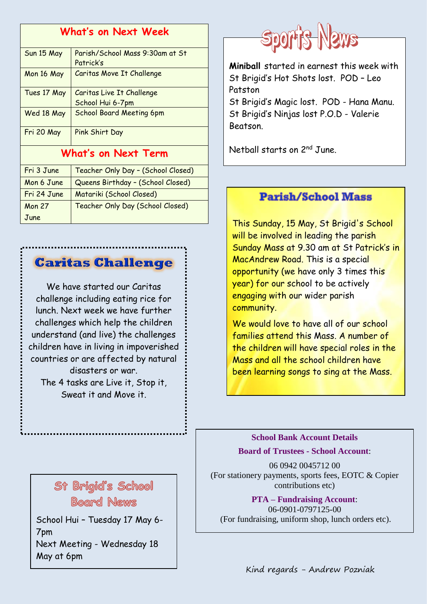| <b>What's on Next Week</b> |                                              |
|----------------------------|----------------------------------------------|
| Sun 15 May                 | Parish/School Mass 9:30am at St<br>Patrick's |
| Mon 16 May                 | Caritas Move It Challenge                    |
| Tues 17 May                | Caritas Live It Challenge                    |
|                            | School Hui 6-7pm                             |
| Wed 18 May                 | <b>School Board Meeting 6pm</b>              |
| Fri 20 May                 | Pink Shirt Day                               |
| <b>What's on Next Term</b> |                                              |
| Fri 3 June                 | Teacher Only Day - (School Closed)           |
| Mon 6 June                 | Queens Birthday - (School Closed)            |
| Fri 24 June                | Matariki (School Closed)                     |
| <b>Mon 27</b>              | Teacher Only Day (School Closed)             |
| June                       |                                              |

## **Caritas Challenge**

We have started our Caritas challenge including eating rice for lunch. Next week we have further challenges which help the children understand (and live) the challenges children have in living in impoverished countries or are affected by natural disasters or war. The 4 tasks are Live it, Stop it, Sweat it and Move it.



7pm Next Meeting - Wednesday 18 May at 6pm



**Miniball** started in earnest this week with St Brigid's Hot Shots lost. POD – Leo Patston St Brigid's Magic lost. POD - Hana Manu.

St Brigid's Ninjas lost P.O.D - Valerie Beatson.

Netball starts on 2nd June.

### **Parish/School Mass**

This Sunday, 15 May, St Brigid's School will be involved in leading the parish Sunday Mass at 9.30 am at St Patrick's in MacAndrew Road. This is a special opportunity (we have only 3 times this year) for our school to be actively engaging with our wider parish community.

We would love to have all of our school families attend this Mass. A number of the children will have special roles in the Mass and all the school children have been learning songs to sing at the Mass.

#### **School Bank Account Details**

**Board of Trustees - School Account**:

06 0942 0045712 00 (For stationery payments, sports fees, EOTC & Copier contributions etc)

**PTA – Fundraising Account**: 06-0901-0797125-00 School Hui - Tuesday 17 May 6- (For fundraising, uniform shop, lunch orders etc).

Kind regards - Andrew Pozniak